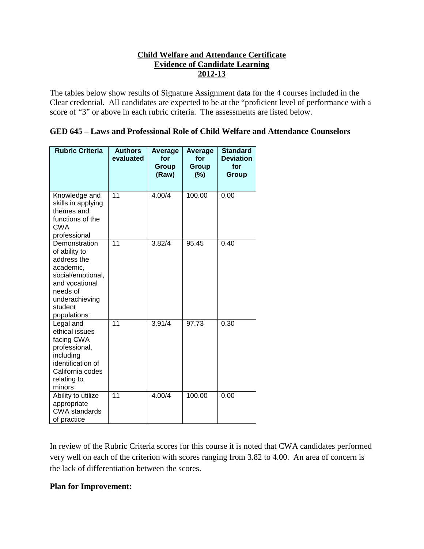# **Child Welfare and Attendance Certificate Evidence of Candidate Learning 2012-13**

The tables below show results of Signature Assignment data for the 4 courses included in the Clear credential. All candidates are expected to be at the "proficient level of performance with a score of "3" or above in each rubric criteria. The assessments are listed below.

|--|

| <b>Rubric Criteria</b>                                                                                                                                    | <b>Authors</b><br>evaluated | Average<br>for<br><b>Group</b><br>(Raw) | Average<br>for<br>Group<br>(%) | <b>Standard</b><br><b>Deviation</b><br>for<br>Group |
|-----------------------------------------------------------------------------------------------------------------------------------------------------------|-----------------------------|-----------------------------------------|--------------------------------|-----------------------------------------------------|
| Knowledge and<br>skills in applying<br>themes and<br>functions of the<br><b>CWA</b><br>professional                                                       | $\overline{11}$             | 4.00/4                                  | 100.00                         | 0.00                                                |
| Demonstration<br>of ability to<br>address the<br>academic,<br>social/emotional,<br>and vocational<br>needs of<br>underachieving<br>student<br>populations | 11                          | 3.82/4                                  | 95.45                          | 0.40                                                |
| Legal and<br>ethical issues<br>facing CWA<br>professional,<br>including<br>identification of<br>California codes<br>relating to<br>minors                 | 11                          | 3.91/4                                  | 97.73                          | 0.30                                                |
| Ability to utilize<br>appropriate<br><b>CWA</b> standards<br>of practice                                                                                  | 11                          | 4.00/4                                  | 100.00                         | 0.00                                                |

In review of the Rubric Criteria scores for this course it is noted that CWA candidates performed very well on each of the criterion with scores ranging from 3.82 to 4.00. An area of concern is the lack of differentiation between the scores.

## **Plan for Improvement:**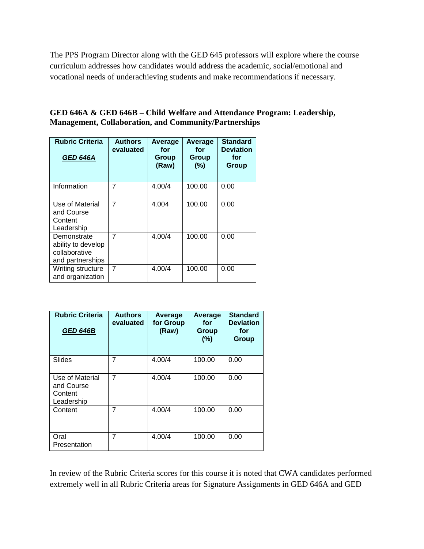The PPS Program Director along with the GED 645 professors will explore where the course curriculum addresses how candidates would address the academic, social/emotional and vocational needs of underachieving students and make recommendations if necessary.

### **GED 646A & GED 646B – Child Welfare and Attendance Program: Leadership, Management, Collaboration, and Community/Partnerships**

| <b>Rubric Criteria</b><br><b>GED 646A</b>                              | <b>Authors</b><br>evaluated | Average<br>for<br>Group<br>(Raw) | Average<br>for<br>Group<br>(%) | <b>Standard</b><br><b>Deviation</b><br>for<br>Group |
|------------------------------------------------------------------------|-----------------------------|----------------------------------|--------------------------------|-----------------------------------------------------|
| Information                                                            | 7                           | 4.00/4                           | 100.00                         | 0.00                                                |
| Use of Material<br>and Course<br>Content<br>Leadership                 | $\overline{7}$              | 4.004                            | 100.00                         | 0.00                                                |
| Demonstrate<br>ability to develop<br>collaborative<br>and partnerships | 7                           | 4.00/4                           | 100.00                         | 0.00                                                |
| Writing structure<br>and organization                                  | $\overline{7}$              | 4.00/4                           | 100.00                         | 0.00                                                |

| <b>Rubric Criteria</b><br><b>GED 646B</b>              | <b>Authors</b><br>evaluated | Average<br>for Group<br>(Raw) | Average<br>for:<br>Group<br>(%) | <b>Standard</b><br><b>Deviation</b><br>for<br>Group |
|--------------------------------------------------------|-----------------------------|-------------------------------|---------------------------------|-----------------------------------------------------|
| Slides                                                 | 7                           | 4.00/4                        | 100.00                          | 0.00                                                |
| Use of Material<br>and Course<br>Content<br>Leadership | $\overline{7}$              | 4.00/4                        | 100.00                          | 0.00                                                |
| Content                                                | 7                           | 4.00/4                        | 100.00                          | 0.00                                                |
| Oral<br>Presentation                                   | 7                           | 4.00/4                        | 100.00                          | 0.00                                                |

In review of the Rubric Criteria scores for this course it is noted that CWA candidates performed extremely well in all Rubric Criteria areas for Signature Assignments in GED 646A and GED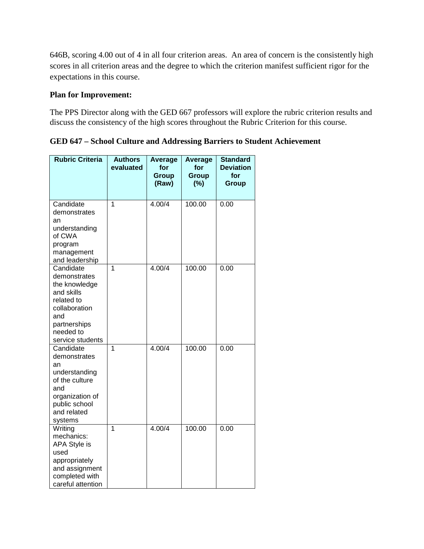646B, scoring 4.00 out of 4 in all four criterion areas. An area of concern is the consistently high scores in all criterion areas and the degree to which the criterion manifest sufficient rigor for the expectations in this course.

#### **Plan for Improvement:**

The PPS Director along with the GED 667 professors will explore the rubric criterion results and discuss the consistency of the high scores throughout the Rubric Criterion for this course.

**GED 647 – School Culture and Addressing Barriers to Student Achievement**

| <b>Rubric Criteria</b>                                                                                                                          | <b>Authors</b><br>evaluated | Average<br>for<br><b>Group</b><br>(Raw) | Average<br>for<br>Group<br>(%) | <b>Standard</b><br><b>Deviation</b><br>for<br>Group |
|-------------------------------------------------------------------------------------------------------------------------------------------------|-----------------------------|-----------------------------------------|--------------------------------|-----------------------------------------------------|
| Candidate<br>demonstrates<br>an<br>understanding<br>of CWA<br>program<br>management<br>and leadership                                           | 1                           | 4.00/4                                  | 100.00                         | 0.00                                                |
| Candidate<br>demonstrates<br>the knowledge<br>and skills<br>related to<br>collaboration<br>and<br>partnerships<br>needed to<br>service students | $\overline{1}$              | 4.00/4                                  | 100.00                         | 0.00                                                |
| Candidate<br>demonstrates<br>an<br>understanding<br>of the culture<br>and<br>organization of<br>public school<br>and related<br>systems         | 1                           | 4.00/4                                  | 100.00                         | 0.00                                                |
| Writing<br>mechanics:<br>APA Style is<br>used<br>appropriately<br>and assignment<br>completed with<br>careful attention                         | 1                           | 4.00/4                                  | 100.00                         | 0.00                                                |